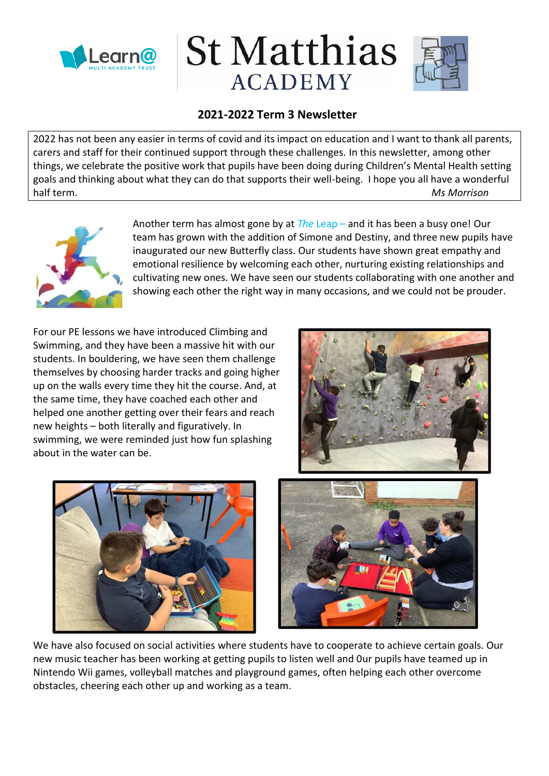

# **St Matthias ACADEMY**



## **2021-2022 Term 3 Newsletter**

2022 has not been any easier in terms of covid and its impact on education and I want to thank all parents, carers and staff for their continued support through these challenges. In this newsletter, among other things, we celebrate the positive work that pupils have been doing during Children's Mental Health setting goals and thinking about what they can do that supports their well-being. I hope you all have a wonderful half term. *Ms Morrison*



Another term has almost gone by at *The* Leap – and it has been a busy one! Our team has grown with the addition of Simone and Destiny, and three new pupils have inaugurated our new Butterfly class. Our students have shown great empathy and emotional resilience by welcoming each other, nurturing existing relationships and cultivating new ones. We have seen our students collaborating with one another and showing each other the right way in many occasions, and we could not be prouder.

For our PE lessons we have introduced Climbing and Swimming, and they have been a massive hit with our students. In bouldering, we have seen them challenge themselves by choosing harder tracks and going higher up on the walls every time they hit the course. And, at the same time, they have coached each other and helped one another getting over their fears and reach new heights – both literally and figuratively. In swimming, we were reminded just how fun splashing about in the water can be.







We have also focused on social activities where students have to cooperate to achieve certain goals. Our new music teacher has been working at getting pupils to listen well and 0ur pupils have teamed up in Nintendo Wii games, volleyball matches and playground games, often helping each other overcome obstacles, cheering each other up and working as a team.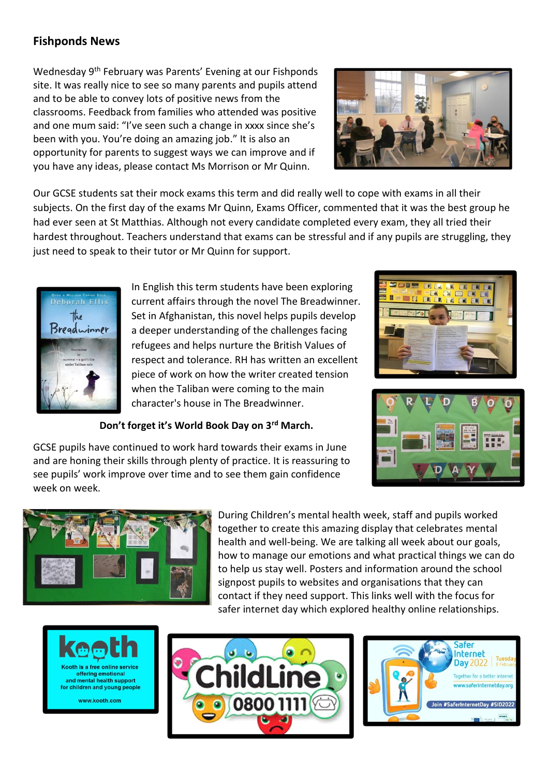## **Fishponds News**

Wednesday 9<sup>th</sup> February was Parents' Evening at our Fishponds site. It was really nice to see so many parents and pupils attend and to be able to convey lots of positive news from the classrooms. Feedback from families who attended was positive and one mum said: "I've seen such a change in xxxx since she's been with you. You're doing an amazing job." It is also an opportunity for parents to suggest ways we can improve and if you have any ideas, please contact Ms Morrison or Mr Quinn.



Our GCSE students sat their mock exams this term and did really well to cope with exams in all their subjects. On the first day of the exams Mr Quinn, Exams Officer, commented that it was the best group he had ever seen at St Matthias. Although not every candidate completed every exam, they all tried their hardest throughout. Teachers understand that exams can be stressful and if any pupils are struggling, they just need to speak to their tutor or Mr Quinn for support.



In English this term students have been exploring current affairs through the novel The Breadwinner. Set in Afghanistan, this novel helps pupils develop a deeper understanding of the challenges facing refugees and helps nurture the British Values of respect and tolerance. RH has written an excellent piece of work on how the writer created tension when the Taliban were coming to the main character's house in The Breadwinner.

### **Don't forget it's World Book Day on 3rd March.**





GCSE pupils have continued to work hard towards their exams in June and are honing their skills through plenty of practice. It is reassuring to see pupils' work improve over time and to see them gain confidence week on week.



During Children's mental health week, staff and pupils worked together to create this amazing display that celebrates mental health and well-being. We are talking all week about our goals, how to manage our emotions and what practical things we can do to help us stay well. Posters and information around the school signpost pupils to websites and organisations that they can contact if they need support. This links well with the focus for safer internet day which explored healthy online relationships.





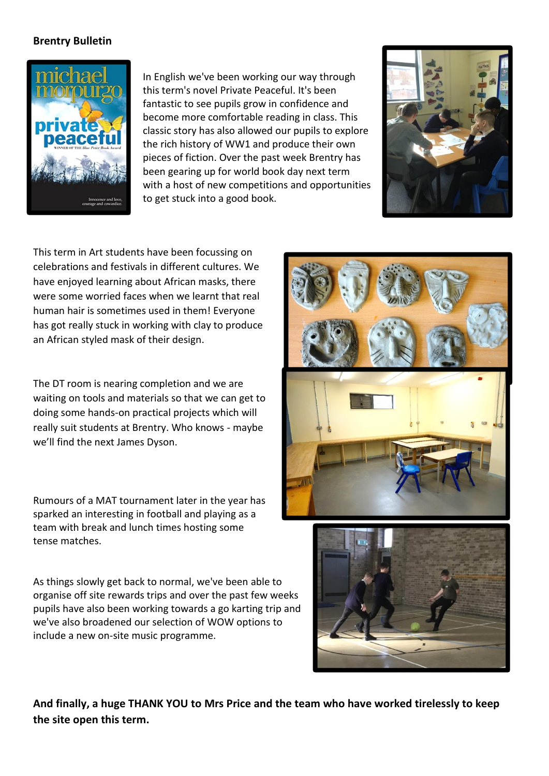#### **Brentry Bulletin**



In English we've been working our way through this term's novel Private Peaceful. It's been fantastic to see pupils grow in confidence and become more comfortable reading in class. This classic story has also allowed our pupils to explore the rich history of WW1 and produce their own pieces of fiction. Over the past week Brentry has been gearing up for world book day next term with a host of new competitions and opportunities to get stuck into a good book.



This term in Art students have been focussing on celebrations and festivals in different cultures. We have enjoyed learning about African masks, there were some worried faces when we learnt that real human hair is sometimes used in them! Everyone has got really stuck in working with clay to produce an African styled mask of their design.

The DT room is nearing completion and we are waiting on tools and materials so that we can get to doing some hands-on practical projects which will really suit students at Brentry. Who knows - maybe we'll find the next James Dyson.

Rumours of a MAT tournament later in the year has sparked an interesting in football and playing as a team with break and lunch times hosting some tense matches.

As things slowly get back to normal, we've been able to organise off site rewards trips and over the past few weeks pupils have also been working towards a go karting trip and we've also broadened our selection of WOW options to include a new on-site music programme.





**And finally, a huge THANK YOU to Mrs Price and the team who have worked tirelessly to keep the site open this term.**